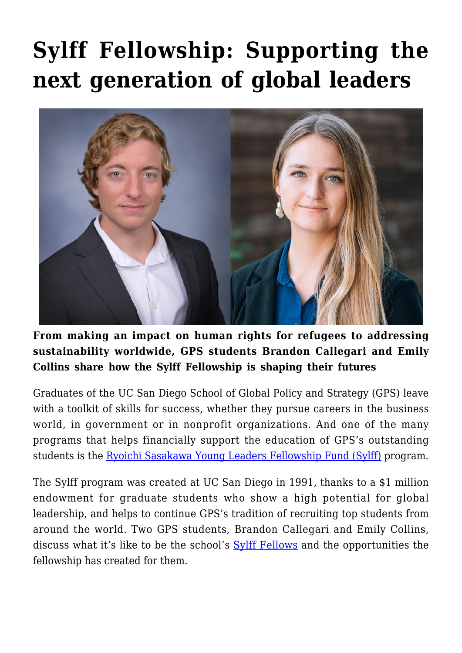## **[Sylff Fellowship: Supporting the](https://gpsnews.ucsd.edu/sylff-fellowship-supporting-the-next-generation-of-global-leaders/) [next generation of global leaders](https://gpsnews.ucsd.edu/sylff-fellowship-supporting-the-next-generation-of-global-leaders/)**



**From making an impact on human rights for refugees to addressing sustainability worldwide, GPS students Brandon Callegari and Emily Collins share how the Sylff Fellowship is shaping their futures**

Graduates of the UC San Diego School of Global Policy and Strategy (GPS) leave with a toolkit of skills for success, whether they pursue careers in the business world, in government or in nonprofit organizations. And one of the many programs that helps financially support the education of GPS's outstanding students is the [Ryoichi Sasakawa Young Leaders Fellowship Fund \(Sylff\)](https://www.sylff.org/) program.

The Sylff program was created at UC San Diego in 1991, thanks to a \$1 million endowment for graduate students who show a high potential for global leadership, and helps to continue GPS's tradition of recruiting top students from around the world. Two GPS students, Brandon Callegari and Emily Collins, discuss what it's like to be the school's **[Sylff Fellows](https://gps.ucsd.edu/students/student-profiles.html#2021%E2%80%9322-Sylff-Fellows)** and the opportunities the fellowship has created for them.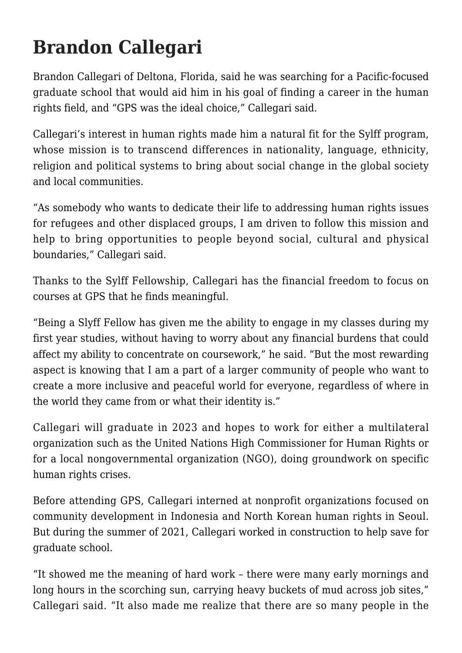## **Brandon Callegari**

Brandon Callegari of Deltona, Florida, said he was searching for a Pacific-focused graduate school that would aid him in his goal of finding a career in the human rights field, and "GPS was the ideal choice," Callegari said.

Callegari's interest in human rights made him a natural fit for the Sylff program, whose mission is to transcend differences in nationality, language, ethnicity, religion and political systems to bring about social change in the global society and local communities.

"As somebody who wants to dedicate their life to addressing human rights issues for refugees and other displaced groups, I am driven to follow this mission and help to bring opportunities to people beyond social, cultural and physical boundaries," Callegari said.

Thanks to the Sylff Fellowship, Callegari has the financial freedom to focus on courses at GPS that he finds meaningful.

"Being a Slyff Fellow has given me the ability to engage in my classes during my first year studies, without having to worry about any financial burdens that could affect my ability to concentrate on coursework," he said. "But the most rewarding aspect is knowing that I am a part of a larger community of people who want to create a more inclusive and peaceful world for everyone, regardless of where in the world they came from or what their identity is."

Callegari will graduate in 2023 and hopes to work for either a multilateral organization such as the United Nations High Commissioner for Human Rights or for a local nongovernmental organization (NGO), doing groundwork on specific human rights crises.

Before attending GPS, Callegari interned at nonprofit organizations focused on community development in Indonesia and North Korean human rights in Seoul. But during the summer of 2021, Callegari worked in construction to help save for graduate school.

"It showed me the meaning of hard work – there were many early mornings and long hours in the scorching sun, carrying heavy buckets of mud across job sites," Callegari said. "It also made me realize that there are so many people in the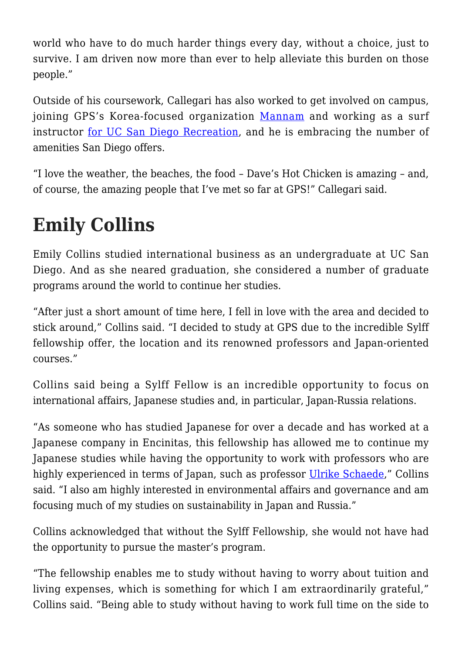world who have to do much harder things every day, without a choice, just to survive. I am driven now more than ever to help alleviate this burden on those people."

Outside of his coursework, Callegari has also worked to get involved on campus, joining GPS's Korea-focused organization [Mannam](https://gps.ucsd.edu/students/student-groups.html#Mannam) and working as a surf instructor [for UC San Diego Recreation](https://recreation.ucsd.edu/), and he is embracing the number of amenities San Diego offers.

"I love the weather, the beaches, the food – Dave's Hot Chicken is amazing – and, of course, the amazing people that I've met so far at GPS!" Callegari said.

## **Emily Collins**

Emily Collins studied international business as an undergraduate at UC San Diego. And as she neared graduation, she considered a number of graduate programs around the world to continue her studies.

"After just a short amount of time here, I fell in love with the area and decided to stick around," Collins said. "I decided to study at GPS due to the incredible Sylff fellowship offer, the location and its renowned professors and Japan-oriented courses."

Collins said being a Sylff Fellow is an incredible opportunity to focus on international affairs, Japanese studies and, in particular, Japan-Russia relations.

"As someone who has studied Japanese for over a decade and has worked at a Japanese company in Encinitas, this fellowship has allowed me to continue my Japanese studies while having the opportunity to work with professors who are highly experienced in terms of Japan, such as professor [Ulrike Schaede](https://gps.ucsd.edu/faculty-directory/ulrike-schaede.html)," Collins said. "I also am highly interested in environmental affairs and governance and am focusing much of my studies on sustainability in Japan and Russia."

Collins acknowledged that without the Sylff Fellowship, she would not have had the opportunity to pursue the master's program.

"The fellowship enables me to study without having to worry about tuition and living expenses, which is something for which I am extraordinarily grateful," Collins said. "Being able to study without having to work full time on the side to